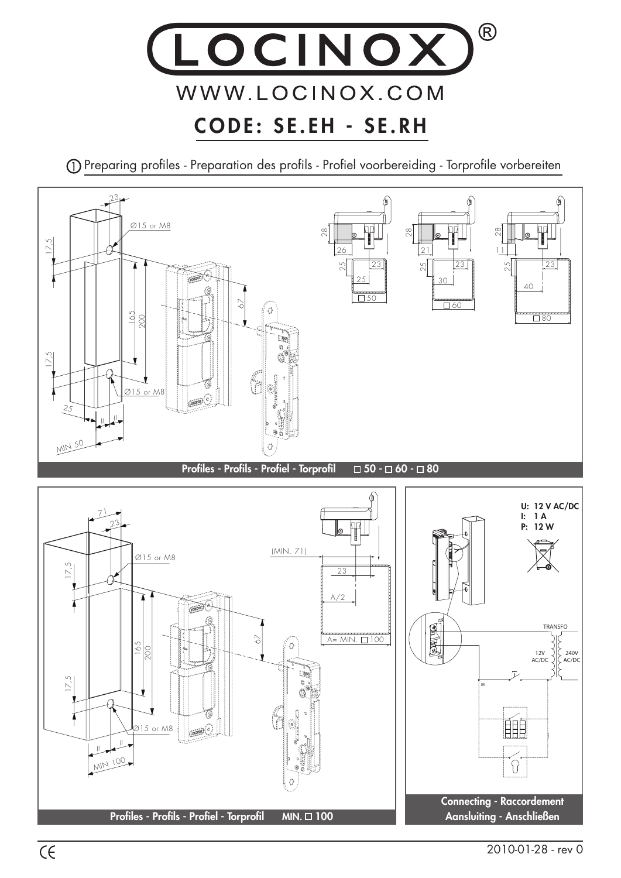

Preparing profiles - Preparation des profils - Profiel voorbereiding - Torprofile vorbereiten